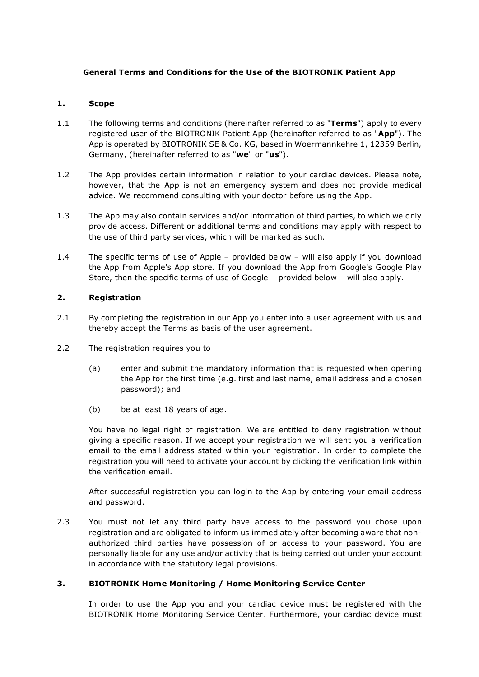## **General Terms and Conditions for the Use of the BIOTRONIK Patient App**

### **1. Scope**

- 1.1 The following terms and conditions (hereinafter referred to as "**Terms**") apply to every registered user of the BIOTRONIK Patient App (hereinafter referred to as "**App**"). The App is operated by BIOTRONIK SE & Co. KG, based in Woermannkehre 1, 12359 Berlin, Germany, (hereinafter referred to as "**we**" or "**us**").
- 1.2 The App provides certain information in relation to your cardiac devices. Please note, however, that the App is not an emergency system and does not provide medical advice. We recommend consulting with your doctor before using the App.
- 1.3 The App may also contain services and/or information of third parties, to which we only provide access. Different or additional terms and conditions may apply with respect to the use of third party services, which will be marked as such.
- 1.4 The specific terms of use of Apple provided below will also apply if you download the App from Apple's App store. If you download the App from Google's Google Play Store, then the specific terms of use of Google – provided below – will also apply.

## **2. Registration**

- 2.1 By completing the registration in our App you enter into a user agreement with us and thereby accept the Terms as basis of the user agreement.
- 2.2 The registration requires you to
	- (a) enter and submit the mandatory information that is requested when opening the App for the first time (e.g. first and last name, email address and a chosen password); and
	- (b) be at least 18 years of age.

You have no legal right of registration. We are entitled to deny registration without giving a specific reason. If we accept your registration we will sent you a verification email to the email address stated within your registration. In order to complete the registration you will need to activate your account by clicking the verification link within the verification email.

After successful registration you can login to the App by entering your email address and password.

2.3 You must not let any third party have access to the password you chose upon registration and are obligated to inform us immediately after becoming aware that nonauthorized third parties have possession of or access to your password. You are personally liable for any use and/or activity that is being carried out under your account in accordance with the statutory legal provisions.

# **3. BIOTRONIK Home Monitoring / Home Monitoring Service Center**

In order to use the App you and your cardiac device must be registered with the BIOTRONIK Home Monitoring Service Center. Furthermore, your cardiac device must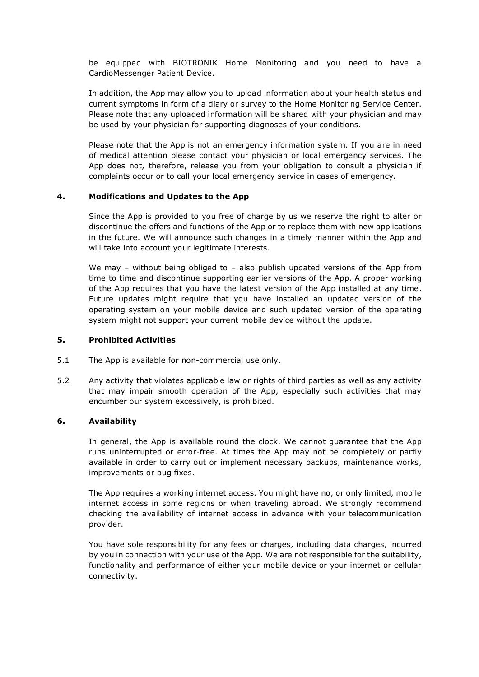be equipped with BIOTRONIK Home Monitoring and you need to have a CardioMessenger Patient Device.

In addition, the App may allow you to upload information about your health status and current symptoms in form of a diary or survey to the Home Monitoring Service Center. Please note that any uploaded information will be shared with your physician and may be used by your physician for supporting diagnoses of your conditions.

Please note that the App is not an emergency information system. If you are in need of medical attention please contact your physician or local emergency services. The App does not, therefore, release you from your obligation to consult a physician if complaints occur or to call your local emergency service in cases of emergency.

#### **4. Modifications and Updates to the App**

Since the App is provided to you free of charge by us we reserve the right to alter or discontinue the offers and functions of the App or to replace them with new applications in the future. We will announce such changes in a timely manner within the App and will take into account your legitimate interests.

We may – without being obliged to – also publish updated versions of the App from time to time and discontinue supporting earlier versions of the App. A proper working of the App requires that you have the latest version of the App installed at any time. Future updates might require that you have installed an updated version of the operating system on your mobile device and such updated version of the operating system might not support your current mobile device without the update.

#### **5. Prohibited Activities**

- 5.1 The App is available for non-commercial use only.
- 5.2 Any activity that violates applicable law or rights of third parties as well as any activity that may impair smooth operation of the App, especially such activities that may encumber our system excessively, is prohibited.

### **6. Availability**

In general, the App is available round the clock. We cannot guarantee that the App runs uninterrupted or error-free. At times the App may not be completely or partly available in order to carry out or implement necessary backups, maintenance works, improvements or bug fixes.

The App requires a working internet access. You might have no, or only limited, mobile internet access in some regions or when traveling abroad. We strongly recommend checking the availability of internet access in advance with your telecommunication provider.

You have sole responsibility for any fees or charges, including data charges, incurred by you in connection with your use of the App. We are not responsible for the suitability, functionality and performance of either your mobile device or your internet or cellular connectivity.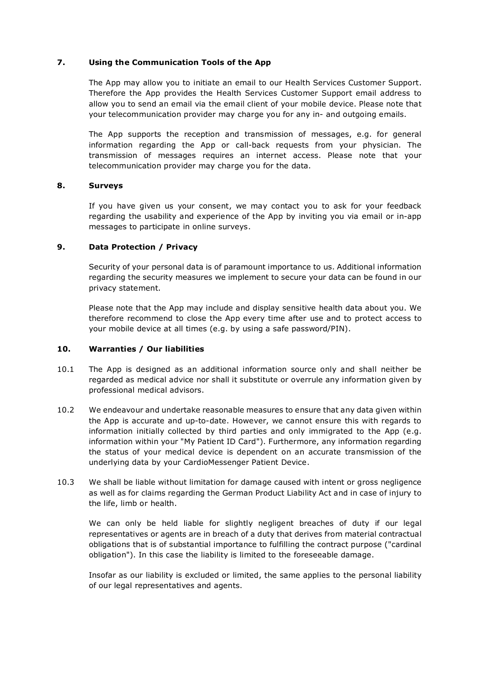### **7. Using the Communication Tools of the App**

The App may allow you to initiate an email to our Health Services Customer Support. Therefore the App provides the Health Services Customer Support email address to allow you to send an email via the email client of your mobile device. Please note that your telecommunication provider may charge you for any in- and outgoing emails.

The App supports the reception and transmission of messages, e.g. for general information regarding the App or call-back requests from your physician. The transmission of messages requires an internet access. Please note that your telecommunication provider may charge you for the data.

### **8. Surveys**

If you have given us your consent, we may contact you to ask for your feedback regarding the usability and experience of the App by inviting you via email or in-app messages to participate in online surveys.

## **9. Data Protection / Privacy**

Security of your personal data is of paramount importance to us. Additional information regarding the security measures we implement to secure your data can be found in our privacy statement.

Please note that the App may include and display sensitive health data about you. We therefore recommend to close the App every time after use and to protect access to your mobile device at all times (e.g. by using a safe password/PIN).

### **10. Warranties / Our liabilities**

- 10.1 The App is designed as an additional information source only and shall neither be regarded as medical advice nor shall it substitute or overrule any information given by professional medical advisors.
- 10.2 We endeavour and undertake reasonable measures to ensure that any data given within the App is accurate and up-to-date. However, we cannot ensure this with regards to information initially collected by third parties and only immigrated to the App (e.g. information within your "My Patient ID Card"). Furthermore, any information regarding the status of your medical device is dependent on an accurate transmission of the underlying data by your CardioMessenger Patient Device.
- 10.3 We shall be liable without limitation for damage caused with intent or gross negligence as well as for claims regarding the German Product Liability Act and in case of injury to the life, limb or health.

We can only be held liable for slightly negligent breaches of duty if our legal representatives or agents are in breach of a duty that derives from material contractual obligations that is of substantial importance to fulfilling the contract purpose ("cardinal obligation"). In this case the liability is limited to the foreseeable damage.

Insofar as our liability is excluded or limited, the same applies to the personal liability of our legal representatives and agents.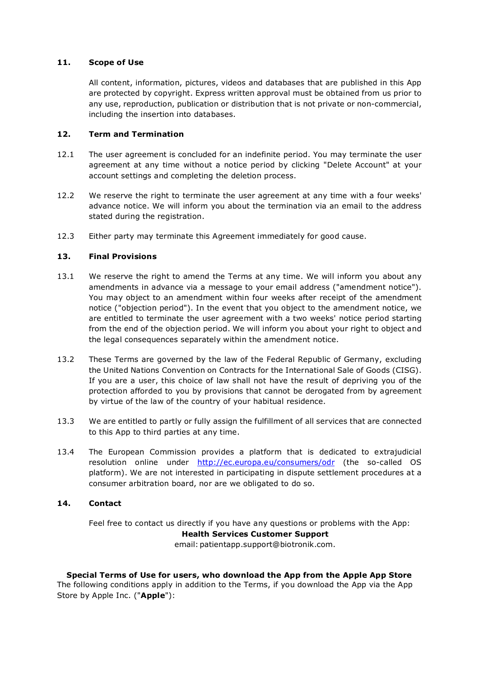### **11. Scope of Use**

All content, information, pictures, videos and databases that are published in this App are protected by copyright. Express written approval must be obtained from us prior to any use, reproduction, publication or distribution that is not private or non-commercial, including the insertion into databases.

### **12. Term and Termination**

- 12.1 The user agreement is concluded for an indefinite period. You may terminate the user agreement at any time without a notice period by clicking "Delete Account" at your account settings and completing the deletion process.
- 12.2 We reserve the right to terminate the user agreement at any time with a four weeks' advance notice. We will inform you about the termination via an email to the address stated during the registration.
- 12.3 Either party may terminate this Agreement immediately for good cause.

## **13. Final Provisions**

- 13.1 We reserve the right to amend the Terms at any time. We will inform you about any amendments in advance via a message to your email address ("amendment notice"). You may object to an amendment within four weeks after receipt of the amendment notice ("objection period"). In the event that you object to the amendment notice, we are entitled to terminate the user agreement with a two weeks' notice period starting from the end of the objection period. We will inform you about your right to object and the legal consequences separately within the amendment notice.
- 13.2 These Terms are governed by the law of the Federal Republic of Germany, excluding the United Nations Convention on Contracts for the International Sale of Goods (CISG). If you are a user, this choice of law shall not have the result of depriving you of the protection afforded to you by provisions that cannot be derogated from by agreement by virtue of the law of the country of your habitual residence.
- 13.3 We are entitled to partly or fully assign the fulfillment of all services that are connected to this App to third parties at any time.
- 13.4 The European Commission provides a platform that is dedicated to extrajudicial resolution online under <http://ec.europa.eu/consumers/odr> (the so-called OS platform). We are not interested in participating in dispute settlement procedures at a consumer arbitration board, nor are we obligated to do so.

### **14. Contact**

Feel free to contact us directly if you have any questions or problems with the App: **Health Services Customer Support** email: patientapp.support@biotronik.com.

**Special Terms of Use for users, who download the App from the Apple App Store** The following conditions apply in addition to the Terms, if you download the App via the App Store by Apple Inc. ("**Apple**"):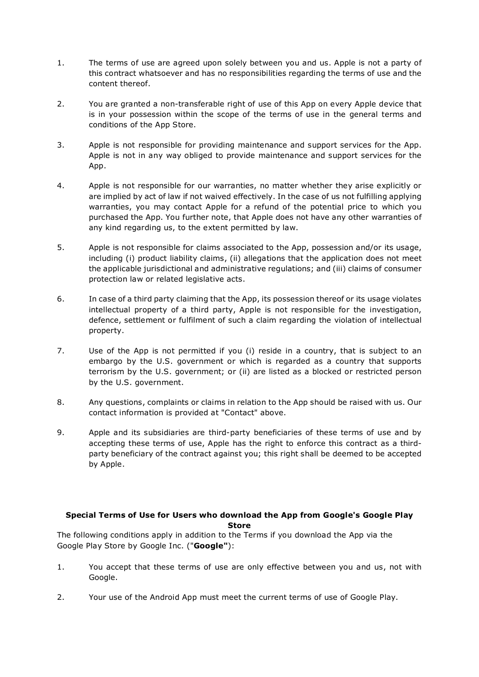- 1. The terms of use are agreed upon solely between you and us. Apple is not a party of this contract whatsoever and has no responsibilities regarding the terms of use and the content thereof.
- 2. You are granted a non-transferable right of use of this App on every Apple device that is in your possession within the scope of the terms of use in the general terms and conditions of the App Store.
- 3. Apple is not responsible for providing maintenance and support services for the App. Apple is not in any way obliged to provide maintenance and support services for the App.
- 4. Apple is not responsible for our warranties, no matter whether they arise explicitly or are implied by act of law if not waived effectively. In the case of us not fulfilling applying warranties, you may contact Apple for a refund of the potential price to which you purchased the App. You further note, that Apple does not have any other warranties of any kind regarding us, to the extent permitted by law.
- 5. Apple is not responsible for claims associated to the App, possession and/or its usage, including (i) product liability claims, (ii) allegations that the application does not meet the applicable jurisdictional and administrative regulations; and (iii) claims of consumer protection law or related legislative acts.
- 6. In case of a third party claiming that the App, its possession thereof or its usage violates intellectual property of a third party, Apple is not responsible for the investigation, defence, settlement or fulfilment of such a claim regarding the violation of intellectual property.
- 7. Use of the App is not permitted if you (i) reside in a country, that is subject to an embargo by the U.S. government or which is regarded as a country that supports terrorism by the U.S. government; or (ii) are listed as a blocked or restricted person by the U.S. government.
- 8. Any questions, complaints or claims in relation to the App should be raised with us. Our contact information is provided at "Contact" above.
- 9. Apple and its subsidiaries are third-party beneficiaries of these terms of use and by accepting these terms of use, Apple has the right to enforce this contract as a thirdparty beneficiary of the contract against you; this right shall be deemed to be accepted by Apple.

# **Special Terms of Use for Users who download the App from Google's Google Play Store**

The following conditions apply in addition to the Terms if you download the App via the Google Play Store by Google Inc. ("**Google"**):

- 1. You accept that these terms of use are only effective between you and us, not with Google.
- 2. Your use of the Android App must meet the current terms of use of Google Play.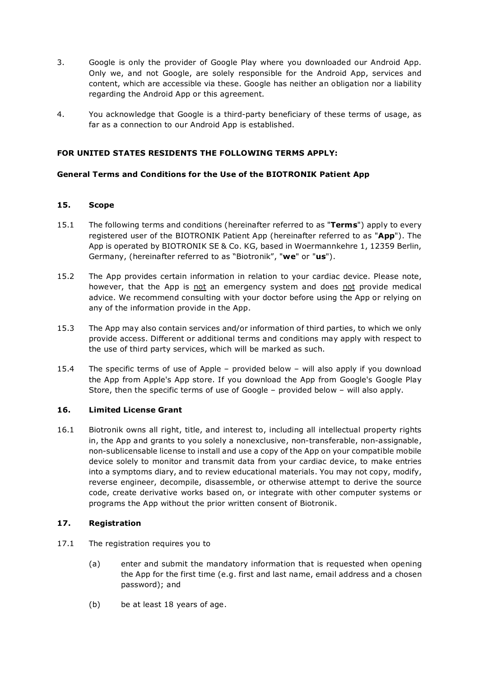- 3. Google is only the provider of Google Play where you downloaded our Android App. Only we, and not Google, are solely responsible for the Android App, services and content, which are accessible via these. Google has neither an obligation nor a liability regarding the Android App or this agreement.
- 4. You acknowledge that Google is a third-party beneficiary of these terms of usage, as far as a connection to our Android App is established.

### **FOR UNITED STATES RESIDENTS THE FOLLOWING TERMS APPLY:**

### **General Terms and Conditions for the Use of the BIOTRONIK Patient App**

### **15. Scope**

- 15.1 The following terms and conditions (hereinafter referred to as "**Terms**") apply to every registered user of the BIOTRONIK Patient App (hereinafter referred to as "**App**"). The App is operated by BIOTRONIK SE & Co. KG, based in Woermannkehre 1, 12359 Berlin, Germany, (hereinafter referred to as "Biotronik", "**we**" or "**us**").
- 15.2 The App provides certain information in relation to your cardiac device. Please note, however, that the App is not an emergency system and does not provide medical advice. We recommend consulting with your doctor before using the App or relying on any of the information provide in the App.
- 15.3 The App may also contain services and/or information of third parties, to which we only provide access. Different or additional terms and conditions may apply with respect to the use of third party services, which will be marked as such.
- 15.4 The specific terms of use of Apple provided below will also apply if you download the App from Apple's App store. If you download the App from Google's Google Play Store, then the specific terms of use of Google – provided below – will also apply.

### **16. Limited License Grant**

16.1 Biotronik owns all right, title, and interest to, including all intellectual property rights in, the App and grants to you solely a nonexclusive, non-transferable, non-assignable, non-sublicensable license to install and use a copy of the App on your compatible mobile device solely to monitor and transmit data from your cardiac device, to make entries into a symptoms diary, and to review educational materials. You may not copy, modify, reverse engineer, decompile, disassemble, or otherwise attempt to derive the source code, create derivative works based on, or integrate with other computer systems or programs the App without the prior written consent of Biotronik.

### **17. Registration**

- 17.1 The registration requires you to
	- (a) enter and submit the mandatory information that is requested when opening the App for the first time (e.g. first and last name, email address and a chosen password); and
	- (b) be at least 18 years of age.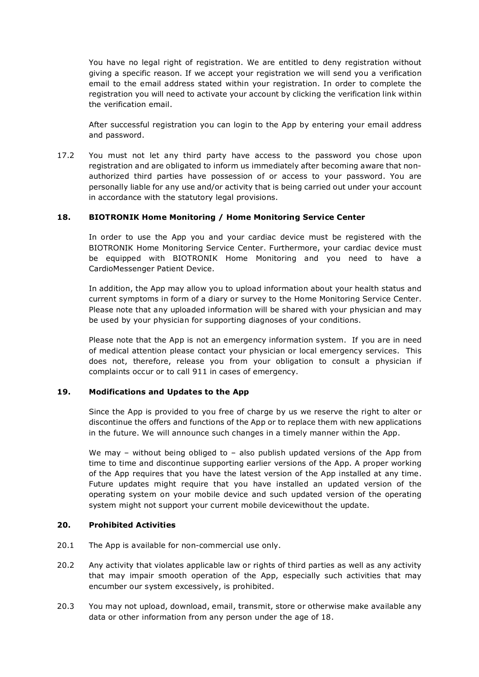You have no legal right of registration. We are entitled to deny registration without giving a specific reason. If we accept your registration we will send you a verification email to the email address stated within your registration. In order to complete the registration you will need to activate your account by clicking the verification link within the verification email.

After successful registration you can login to the App by entering your email address and password.

17.2 You must not let any third party have access to the password you chose upon registration and are obligated to inform us immediately after becoming aware that nonauthorized third parties have possession of or access to your password. You are personally liable for any use and/or activity that is being carried out under your account in accordance with the statutory legal provisions.

### **18. BIOTRONIK Home Monitoring / Home Monitoring Service Center**

In order to use the App you and your cardiac device must be registered with the BIOTRONIK Home Monitoring Service Center. Furthermore, your cardiac device must be equipped with BIOTRONIK Home Monitoring and you need to have a CardioMessenger Patient Device.

In addition, the App may allow you to upload information about your health status and current symptoms in form of a diary or survey to the Home Monitoring Service Center. Please note that any uploaded information will be shared with your physician and may be used by your physician for supporting diagnoses of your conditions.

Please note that the App is not an emergency information system. If you are in need of medical attention please contact your physician or local emergency services. This does not, therefore, release you from your obligation to consult a physician if complaints occur or to call 911 in cases of emergency.

### **19. Modifications and Updates to the App**

Since the App is provided to you free of charge by us we reserve the right to alter or discontinue the offers and functions of the App or to replace them with new applications in the future. We will announce such changes in a timely manner within the App.

We may – without being obliged to – also publish updated versions of the App from time to time and discontinue supporting earlier versions of the App. A proper working of the App requires that you have the latest version of the App installed at any time. Future updates might require that you have installed an updated version of the operating system on your mobile device and such updated version of the operating system might not support your current mobile devicewithout the update.

### **20. Prohibited Activities**

- 20.1 The App is available for non-commercial use only.
- 20.2 Any activity that violates applicable law or rights of third parties as well as any activity that may impair smooth operation of the App, especially such activities that may encumber our system excessively, is prohibited.
- 20.3 You may not upload, download, email, transmit, store or otherwise make available any data or other information from any person under the age of 18.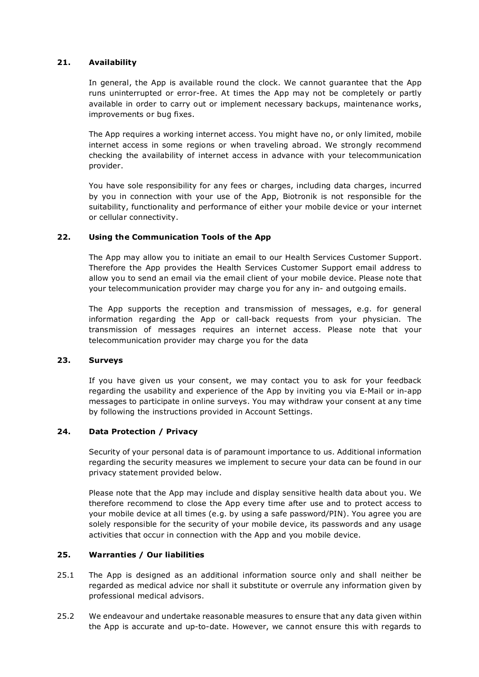### **21. Availability**

In general, the App is available round the clock. We cannot guarantee that the App runs uninterrupted or error-free. At times the App may not be completely or partly available in order to carry out or implement necessary backups, maintenance works, improvements or bug fixes.

The App requires a working internet access. You might have no, or only limited, mobile internet access in some regions or when traveling abroad. We strongly recommend checking the availability of internet access in advance with your telecommunication provider.

You have sole responsibility for any fees or charges, including data charges, incurred by you in connection with your use of the App, Biotronik is not responsible for the suitability, functionality and performance of either your mobile device or your internet or cellular connectivity.

### **22. Using the Communication Tools of the App**

The App may allow you to initiate an email to our Health Services Customer Support. Therefore the App provides the Health Services Customer Support email address to allow you to send an email via the email client of your mobile device. Please note that your telecommunication provider may charge you for any in- and outgoing emails.

The App supports the reception and transmission of messages, e.g. for general information regarding the App or call-back requests from your physician. The transmission of messages requires an internet access. Please note that your telecommunication provider may charge you for the data

### **23. Surveys**

If you have given us your consent, we may contact you to ask for your feedback regarding the usability and experience of the App by inviting you via E-Mail or in-app messages to participate in online surveys. You may withdraw your consent at any time by following the instructions provided in Account Settings.

### **24. Data Protection / Privacy**

Security of your personal data is of paramount importance to us. Additional information regarding the security measures we implement to secure your data can be found in our privacy statement provided below.

Please note that the App may include and display sensitive health data about you. We therefore recommend to close the App every time after use and to protect access to your mobile device at all times (e.g. by using a safe password/PIN). You agree you are solely responsible for the security of your mobile device, its passwords and any usage activities that occur in connection with the App and you mobile device.

### **25. Warranties / Our liabilities**

- 25.1 The App is designed as an additional information source only and shall neither be regarded as medical advice nor shall it substitute or overrule any information given by professional medical advisors.
- 25.2 We endeavour and undertake reasonable measures to ensure that any data given within the App is accurate and up-to-date. However, we cannot ensure this with regards to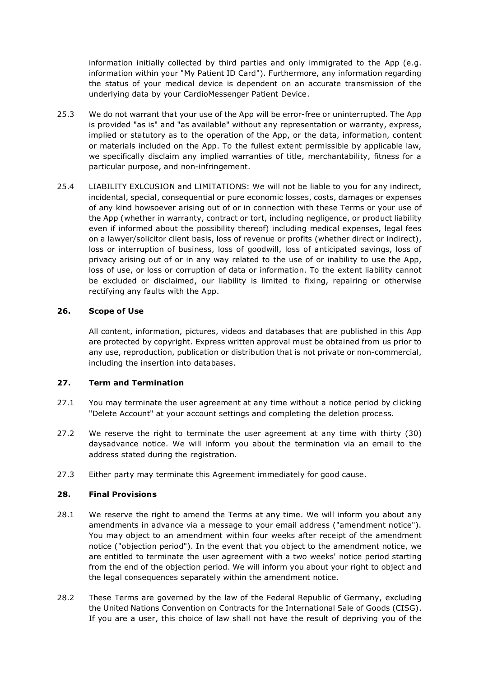information initially collected by third parties and only immigrated to the App (e.g. information within your "My Patient ID Card"). Furthermore, any information regarding the status of your medical device is dependent on an accurate transmission of the underlying data by your CardioMessenger Patient Device.

- 25.3 We do not warrant that your use of the App will be error-free or uninterrupted. The App is provided "as is" and "as available" without any representation or warranty, express, implied or statutory as to the operation of the App, or the data, information, content or materials included on the App. To the fullest extent permissible by applicable law, we specifically disclaim any implied warranties of title, merchantability, fitness for a particular purpose, and non-infringement.
- 25.4 LIABILITY EXLCUSION and LIMITATIONS: We will not be liable to you for any indirect, incidental, special, consequential or pure economic losses, costs, damages or expenses of any kind howsoever arising out of or in connection with these Terms or your use of the App (whether in warranty, contract or tort, including negligence, or product liability even if informed about the possibility thereof) including medical expenses, legal fees on a lawyer/solicitor client basis, loss of revenue or profits (whether direct or indirect), loss or interruption of business, loss of goodwill, loss of anticipated savings, loss of privacy arising out of or in any way related to the use of or inability to use the App, loss of use, or loss or corruption of data or information. To the extent liability cannot be excluded or disclaimed, our liability is limited to fixing, repairing or otherwise rectifying any faults with the App.

### **26. Scope of Use**

All content, information, pictures, videos and databases that are published in this App are protected by copyright. Express written approval must be obtained from us prior to any use, reproduction, publication or distribution that is not private or non-commercial, including the insertion into databases.

### **27. Term and Termination**

- 27.1 You may terminate the user agreement at any time without a notice period by clicking "Delete Account" at your account settings and completing the deletion process.
- 27.2 We reserve the right to terminate the user agreement at any time with thirty (30) daysadvance notice. We will inform you about the termination via an email to the address stated during the registration.
- 27.3 Either party may terminate this Agreement immediately for good cause.

### **28. Final Provisions**

- 28.1 We reserve the right to amend the Terms at any time. We will inform you about any amendments in advance via a message to your email address ("amendment notice"). You may object to an amendment within four weeks after receipt of the amendment notice ("objection period"). In the event that you object to the amendment notice, we are entitled to terminate the user agreement with a two weeks' notice period starting from the end of the objection period. We will inform you about your right to object and the legal consequences separately within the amendment notice.
- 28.2 These Terms are governed by the law of the Federal Republic of Germany, excluding the United Nations Convention on Contracts for the International Sale of Goods (CISG). If you are a user, this choice of law shall not have the result of depriving you of the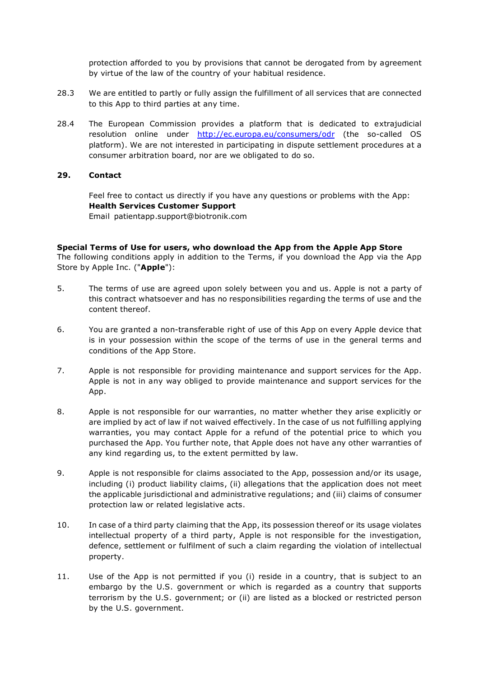protection afforded to you by provisions that cannot be derogated from by agreement by virtue of the law of the country of your habitual residence.

- 28.3 We are entitled to partly or fully assign the fulfillment of all services that are connected to this App to third parties at any time.
- 28.4 The European Commission provides a platform that is dedicated to extrajudicial resolution online under <http://ec.europa.eu/consumers/odr> (the so-called OS platform). We are not interested in participating in dispute settlement procedures at a consumer arbitration board, nor are we obligated to do so.

#### **29. Contact**

Feel free to contact us directly if you have any questions or problems with the App: **Health Services Customer Support** Email patientapp.support@biotronik.com

#### **Special Terms of Use for users, who download the App from the Apple App Store**

The following conditions apply in addition to the Terms, if you download the App via the App Store by Apple Inc. ("**Apple**"):

- 5. The terms of use are agreed upon solely between you and us. Apple is not a party of this contract whatsoever and has no responsibilities regarding the terms of use and the content thereof.
- 6. You are granted a non-transferable right of use of this App on every Apple device that is in your possession within the scope of the terms of use in the general terms and conditions of the App Store.
- 7. Apple is not responsible for providing maintenance and support services for the App. Apple is not in any way obliged to provide maintenance and support services for the App.
- 8. Apple is not responsible for our warranties, no matter whether they arise explicitly or are implied by act of law if not waived effectively. In the case of us not fulfilling applying warranties, you may contact Apple for a refund of the potential price to which you purchased the App. You further note, that Apple does not have any other warranties of any kind regarding us, to the extent permitted by law.
- 9. Apple is not responsible for claims associated to the App, possession and/or its usage, including (i) product liability claims, (ii) allegations that the application does not meet the applicable jurisdictional and administrative regulations; and (iii) claims of consumer protection law or related legislative acts.
- 10. In case of a third party claiming that the App, its possession thereof or its usage violates intellectual property of a third party, Apple is not responsible for the investigation, defence, settlement or fulfilment of such a claim regarding the violation of intellectual property.
- 11. Use of the App is not permitted if you (i) reside in a country, that is subject to an embargo by the U.S. government or which is regarded as a country that supports terrorism by the U.S. government; or (ii) are listed as a blocked or restricted person by the U.S. government.